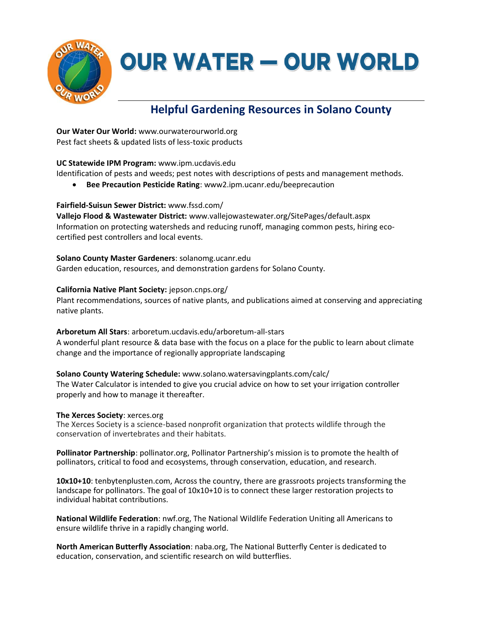

# **OUR WATER - OUR WORLD**

## **Helpful Gardening Resources in Solano County**

**Our Water Our World:** www.ourwaterourworld.org Pest fact sheets & updated lists of less-toxic products

#### **UC Statewide IPM Program:** www.ipm.ucdavis.edu

Identification of pests and weeds; pest notes with descriptions of pests and management methods.

• **Bee Precaution Pesticide Rating**: www2.ipm.ucanr.edu/beeprecaution

#### **Fairfield-Suisun Sewer District:** www.fssd.com/

**Vallejo Flood & Wastewater District:** www.vallejowastewater.org/SitePages/default.aspx Information on protecting watersheds and reducing runoff, managing common pests, hiring ecocertified pest controllers and local events.

**Solano County Master Gardeners**: solanomg.ucanr.edu Garden education, resources, and demonstration gardens for Solano County.

#### **California Native Plant Society:** jepson.cnps.org/

Plant recommendations, sources of native plants, and publications aimed at conserving and appreciating native plants.

### **Arboretum All Stars**: arboretum.ucdavis.edu/arboretum-all-stars

A wonderful plant resource & data base with the focus on a place for the public to learn about climate change and the importance of regionally appropriate landscaping

**Solano County Watering Schedule:** [www.solano.watersavingplants.com/calc/](http://www.solano.watersavingplants.com/calc/) The Water Calculator is intended to give you crucial advice on how to set your irrigation controller properly and how to manage it thereafter.

#### **The Xerces Society**: xerces.org

The Xerces Society is a science-based nonprofit organization that protects wildlife through the conservation of invertebrates and their habitats.

**Pollinator Partnership**: pollinator.org, Pollinator Partnership's mission is to promote the health of pollinators, critical to food and ecosystems, through conservation, education, and research.

**10x10+10**: tenbytenplusten.com, Across the country, there are grassroots projects transforming the landscape for pollinators. The goal of 10x10+10 is to connect these larger restoration projects to individual habitat contributions.

**National Wildlife Federation**: nwf.org, The National Wildlife Federation Uniting all Americans to ensure wildlife thrive in a rapidly changing world.

**North American Butterfly Association**: naba.org, The National Butterfly Center is dedicated to education, conservation, and scientific research on wild butterflies.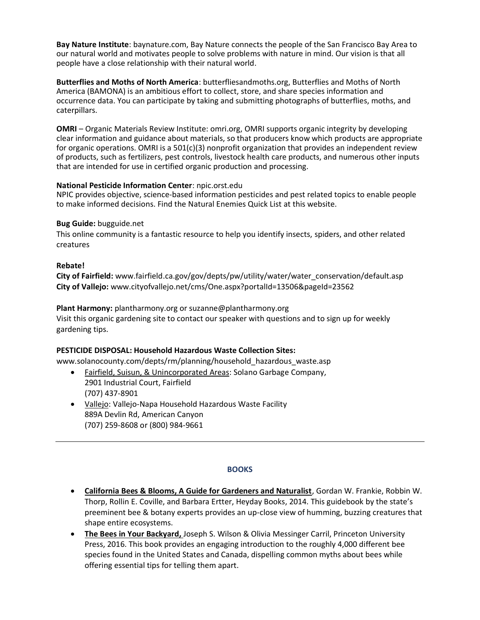**Bay Nature Institute**: baynature.com, Bay Nature connects the people of the San Francisco Bay Area to our natural world and motivates people to solve problems with nature in mind. Our vision is that all people have a close relationship with their natural world.

**Butterflies and Moths of North America**: butterfliesandmoths.org, Butterflies and Moths of North America (BAMONA) is an ambitious effort to collect, store, and share species information and occurrence data. You can participate by taking and submitting photographs of butterflies, moths, and caterpillars.

**OMRI** – Organic Materials Review Institute: omri.org, OMRI supports organic integrity by developing clear information and guidance about materials, so that producers know which products are appropriate for organic operations. OMRI is a 501(c)(3) nonprofit organization that provides an independent review of products, such as fertilizers, pest controls, livestock health care products, and numerous other inputs that are intended for use in certified organic production and processing.

#### **National Pesticide Information Center**: npic.orst.edu

NPIC provides objective, science-based information pesticides and pest related topics to enable people to make informed decisions. Find the Natural Enemies Quick List at this website.

#### **Bug Guide:** bugguide.net

This online community is a fantastic resource to help you identify insects, spiders, and other related creatures

#### **Rebate!**

**City of Fairfield:** www.fairfield.ca.gov/gov/depts/pw/utility/water/water\_conservation/default.asp **City of Vallejo:** www.cityofvallejo.net/cms/One.aspx?portalId=13506&pageId=23562

**Plant Harmony:** plantharmony.org or suzanne@plantharmony.org

Visit this organic gardening site to contact our speaker with questions and to sign up for weekly gardening tips.

#### **PESTICIDE DISPOSAL: Household Hazardous Waste Collection Sites:**

www.solanocounty.com/depts/rm/planning/household\_hazardous\_waste.asp

- Fairfield, Suisun, & Unincorporated Areas: Solano Garbage Company, 2901 Industrial Court, Fairfield (707) 437-8901
- Vallejo: Vallejo-Napa Household Hazardous Waste Facility 889A Devlin Rd, American Canyon (707) 259-8608 or (800) 984-9661

#### **BOOKS**

- **California Bees & Blooms, A Guide for Gardeners and Naturalist**, Gordan W. Frankie, Robbin W. Thorp, Rollin E. Coville, and Barbara Ertter, Heyday Books, 2014. This guidebook by the state's preeminent bee & botany experts provides an up-close view of humming, buzzing creatures that shape entire ecosystems.
- **The Bees in Your Backyard,** Joseph S. Wilson & Olivia Messinger Carril, Princeton University Press, 2016. This book provides an engaging introduction to the roughly 4,000 different bee species found in the United States and Canada, dispelling common myths about bees while offering essential tips for telling them apart.